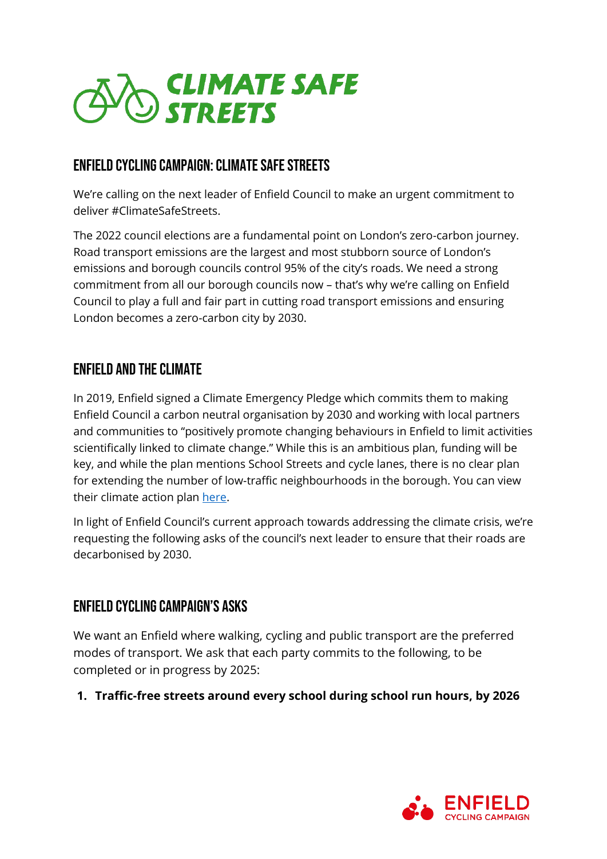

## enfield CYCLING CAMPAIGN: Climate Safe Streets

We're calling on the next leader of Enfield Council to make an urgent commitment to deliver #ClimateSafeStreets.

The 2022 council elections are a fundamental point on London's zero-carbon journey. Road transport emissions are the largest and most stubborn source of London's emissions and borough councils control 95% of the city's roads. We need a strong commitment from all our borough councils now – that's why we're calling on Enfield Council to play a full and fair part in cutting road transport emissions and ensuring London becomes a zero-carbon city by 2030.

## Enfield and the Climate

In 2019, Enfield signed a Climate Emergency Pledge which commits them to making Enfield Council a carbon neutral organisation by 2030 and working with local partners and communities to "positively promote changing behaviours in Enfield to limit activities scientifically linked to climate change." While this is an ambitious plan, funding will be key, and while the plan mentions School Streets and cycle lanes, there is no clear plan for extending the number of low-traffic neighbourhoods in the borough. You can view their climate action plan [here.](https://new.enfield.gov.uk/services/environment/enfield-climate-action-plan-2020-environment.pdf)

In light of Enfield Council's current approach towards addressing the climate crisis, we're requesting the following asks of the council's next leader to ensure that their roads are decarbonised by 2030.

## Enfield Cycling Campaign's Asks

We want an Enfield where walking, cycling and public transport are the preferred modes of transport. We ask that each party commits to the following, to be completed or in progress by 2025:

## **1. Traffic-free streets around every school during school run hours, by 2026**